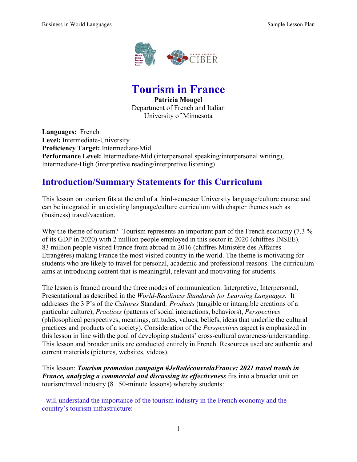

**Tourism in France**

**Patricia Mougel** Department of French and Italian University of Minnesota

**Languages:** French **Level:** Intermediate-University **Proficiency Target:** Intermediate-Mid **Performance Level:** Intermediate-Mid (interpersonal speaking/interpersonal writing), Intermediate-High (interpretive reading/interpretive listening)

## **Introduction/Summary Statements for this Curriculum**

This lesson on tourism fits at the end of a third-semester University language/culture course and can be integrated in an existing language/culture curriculum with chapter themes such as (business) travel/vacation.

Why the theme of tourism? Tourism represents an important part of the French economy (7.3 %) of its GDP in 2020) with 2 million people employed in this sector in 2020 (chiffres INSEE). 83 million people visited France from abroad in 2016 (chiffres Ministère des Affaires Etrangères) making France the most visited country in the world. The theme is motivating for students who are likely to travel for personal, academic and professional reasons. The curriculum aims at introducing content that is meaningful, relevant and motivating for students.

The lesson is framed around the three modes of communication: Interpretive, Interpersonal, Presentational as described in the *World-Readiness Standards for Learning Languages.* It addresses the 3 P's of the *Cultures* Standard*: Products* (tangible or intangible creations of a particular culture), *Practices* (patterns of social interactions, behaviors), *Perspectives* (philosophical perspectives, meanings, attitudes, values, beliefs, ideas that underlie the cultural practices and products of a society). Consideration of the *Perspectives* aspect is emphasized in this lesson in line with the goal of developing students' cross-cultural awareness/understanding. This lesson and broader units are conducted entirely in French. Resources used are authentic and current materials (pictures, websites, videos).

This lesson: *Tourism promotion campaign #JeRedécouvrelaFrance: 2021 travel trends in France, analyzing a commercial and discussing its effectiveness* fits into a broader unit on tourism/travel industry (8 50-minute lessons) whereby students:

- will understand the importance of the tourism industry in the French economy and the country's tourism infrastructure: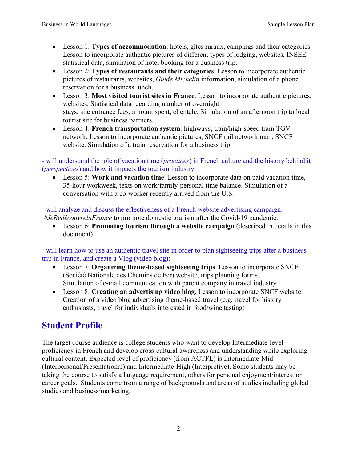- Lesson 1: **Types of accommodation**: hotels, gîtes ruraux, campings and their categories. Lesson to incorporate authentic pictures of different types of lodging, websites, INSEE statistical data, simulation of hotel booking for a business trip.
- Lesson 2: **Types of restaurants and their categories**. Lesson to incorporate authentic pictures of restaurants, websites, *Guide Michelin* information, simulation of a phone reservation for a business lunch.
- Lesson 3: **Most visited tourist sites in France**. Lesson to incorporate authentic pictures, websites. Statistical data regarding number of overnight stays, site entrance fees, amount spent, clientele. Simulation of an afternoon trip to local tourist site for business partners.
- Lesson 4: **French transportation system**: highways, train/high-speed train TGV network. Lesson to incorporate authentic pictures, SNCF rail network map, SNCF website. Simulation of a train reservation for a business trip.

- will understand the role of vacation time (*practices*) in French culture and the history behind it (*perspectives*) and how it impacts the tourism industry:

• Lesson 5: **Work and vacation time**. Lesson to incorporate data on paid vacation time, 35-hour workweek, texts on work/family-personal time balance. Simulation of a conversation with a co-worker recently arrived from the U.S.

- will analyze and discuss the effectiveness of a French website advertising campaign: *#JeRedécouvrelaFrance* to promote domestic tourism after the Covid-19 pandemic.

• Lesson 6: **Promoting tourism through a website campaign** (described in details in this document)

- will learn how to use an authentic travel site in order to plan sightseeing trips after a business trip in France, and create a Vlog (video blog):

- Lesson 7: **Organizing theme-based sightseeing trips**. Lesson to incorporate SNCF (Société Nationale des Chemins de Fer) website, trips planning forms. Simulation of e-mail communication with parent company in travel industry.
- Lesson 8: **Creating an advertising video blog**. Lesson to incorporate SNCF website. Creation of a video blog advertising theme-based travel (e.g. travel for history enthusiasts, travel for individuals interested in food/wine tasting)

# **Student Profile**

The target course audience is college students who want to develop Intermediate-level proficiency in French and develop cross-cultural awareness and understanding while exploring cultural content. Expected level of proficiency (from ACTFL) is Intermediate-Mid (Interpersonal/Presentational) and Intermediate-High (Interpretive). Some students may be taking the course to satisfy a language requirement, others for personal enjoyment/interest or career goals. Students come from a range of backgrounds and areas of studies including global studies and business/marketing.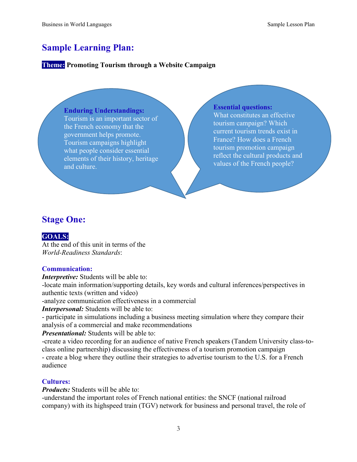## **Sample Learning Plan:**

### **Theme: Promoting Tourism through a Website Campaign**

#### **Enduring Understandings:**

Tourism is an important sector of the French economy that the government helps promote. Tourism campaigns highlight what people consider essential elements of their history, heritage and culture.

#### **Essential questions:**

What constitutes an effective tourism campaign? Which current tourism trends exist in France? How does a French tourism promotion campaign reflect the cultural products and values of the French people?

## **Stage One:**

### **GOALS:**

At the end of this unit in terms of the *World-Readiness Standards*:

### **Communication:**

*Interpretive:* Students will be able to:

-locate main information/supporting details, key words and cultural inferences/perspectives in authentic texts (written and video)

-analyze communication effectiveness in a commercial

*Interpersonal:* Students will be able to:

- participate in simulations including a business meeting simulation where they compare their analysis of a commercial and make recommendations

#### *Presentational:* Students will be able to:

-create a video recording for an audience of native French speakers (Tandem University class-toclass online partnership) discussing the effectiveness of a tourism promotion campaign - create a blog where they outline their strategies to advertise tourism to the U.S. for a French audience

### **Cultures:**

*Products:* Students will be able to:

-understand the important roles of French national entities: the SNCF (national railroad company) with its highspeed train (TGV) network for business and personal travel, the role of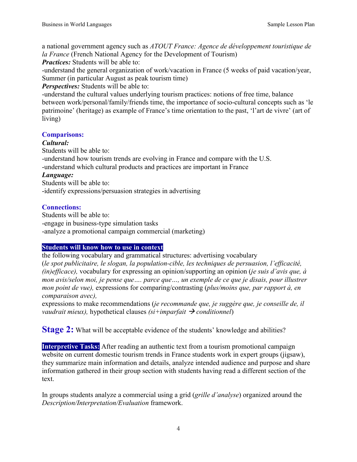a national government agency such as *ATOUT France: Agence de développement touristique de la France* (French National Agency for the Development of Tourism)

*Practices:* Students will be able to:

-understand the general organization of work/vacation in France (5 weeks of paid vacation/year, Summer (in particular August as peak tourism time)

*Perspectives:* Students will be able to:

-understand the cultural values underlying tourism practices: notions of free time, balance between work/personal/family/friends time, the importance of socio-cultural concepts such as 'le patrimoine' (heritage) as example of France's time orientation to the past, 'l'art de vivre' (art of living)

### **Comparisons:**

### *Cultural:*

Students will be able to:

-understand how tourism trends are evolving in France and compare with the U.S.

-understand which cultural products and practices are important in France

### *Language:*

Students will be able to:

-identify expressions/persuasion strategies in advertising

### **Connections:**

Students will be able to: -engage in business-type simulation tasks -analyze a promotional campaign commercial (marketing)

### **Students will know how to use in context**

the following vocabulary and grammatical structures: advertising vocabulary (*le spot publicitaire, le slogan, la population-cible, les techniques de persuasion, l'efficacité, (in)efficace),* vocabulary for expressing an opinion/supporting an opinion (*je suis d'avis que, à mon avis/selon moi, je pense que…. parce que…, un exemple de ce que je disais, pour illustrer mon point de vue),* expressions for comparing/contrasting (*plus/moins que, par rapport à, en comparaison avec),* 

expressions to make recommendations (*je recommande que, je suggère que, je conseille de, il vaudrait mieux), hypothetical clauses*  $(s_i + \text{impar} \hat{a} \cdot \hat{b})$  *conditionnel)* 

**Stage 2:** What will be acceptable evidence of the students' knowledge and abilities?

**Interpretive Tasks:** After reading an authentic text from a tourism promotional campaign website on current domestic tourism trends in France students work in expert groups (jigsaw), they summarize main information and details, analyze intended audience and purpose and share information gathered in their group section with students having read a different section of the text.

In groups students analyze a commercial using a grid (*grille d'analyse*) organized around the *Description/Interpretation/Evaluation* framework.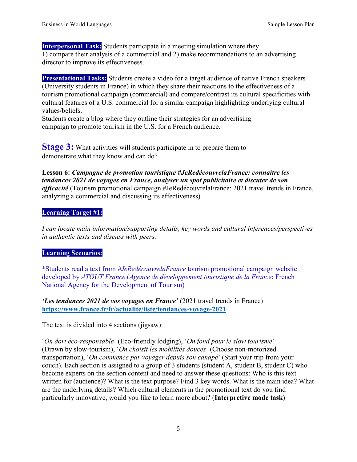**Interpersonal Task:** Students participate in a meeting simulation where they 1) compare their analysis of a commercial and 2) make recommendations to an advertising director to improve its effectiveness.

**Presentational Tasks:** Students create a video for a target audience of native French speakers (University students in France) in which they share their reactions to the effectiveness of a tourism promotional campaign (commercial) and compare/contrast its cultural specificities with cultural features of a U.S. commercial for a similar campaign highlighting underlying cultural values/beliefs.

Students create a blog where they outline their strategies for an advertising campaign to promote tourism in the U.S. for a French audience.

**Stage 3:** What activities will students participate in to prepare them to demonstrate what they know and can do?

**Lesson 6:** *Campagne de promotion touristique #JeRedécouvrelaFrance: connaître les tendances 2021 de voyages en France, analyser un spot publicitaire et discuter de son efficacité* (Tourism promotional campaign #JeRedécouvrelaFrance: 2021 travel trends in France, analyzing a commercial and discussing its effectiveness)

### **Learning Target #1:**

*I can locate main information/supporting details, key words and cultural inferences/perspectives in authentic texts and discuss with peers.* 

### **Learning Scenarios:**

\*Students read a text from *#JeRedécouvrelaFrance* tourism promotional campaign website developed by *ATOUT France* (*Agence de développement touristique de la France*: French National Agency for the Development of Tourism)

*'Les tendances 2021 de vos voyages en France'* (2021 travel trends in France) **<https://www.france.fr/fr/actualite/liste/tendances-voyage-2021>**

The text is divided into 4 sections (jigsaw):

'*On dort éco-responsable'* (Eco-friendly lodging), '*On fond pour le slow tourisme*' (Drawn by slow-tourism), '*On choisit les mobilités douces'* (Choose non-motorized transportation), '*On commence par voyager depuis son canapé*' (Start your trip from your couch). Each section is assigned to a group of 3 students (student A, student B, student C) who become experts on the section content and need to answer these questions: Who is this text written for (audience)? What is the text purpose? Find 3 key words. What is the main idea? What are the underlying details? Which cultural elements in the promotional text do you find particularly innovative, would you like to learn more about? (**Interpretive mode task**)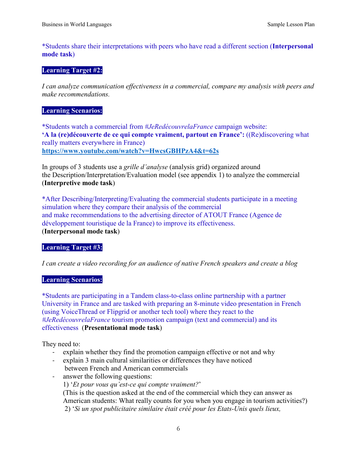\*Students share their interpretations with peers who have read a different section (**Interpersonal mode task**)

#### **Learning Target #2:**

*I can analyze communication effectiveness in a commercial, compare my analysis with peers and make recommendations.* 

#### **Learning Scenarios:**

\*Students watch a commercial from *#JeRedécouvrelaFrance* campaign website: **'A la (re)découverte de ce qui compte vraiment, partout en France':** ((Re)discovering what really matters everywhere in France) **<https://www.youtube.com/watch?v=HwcsGBHPzA4&t=62s>**

In groups of 3 students use a *grille d'analyse* (analysis grid) organized around the Description/Interpretation/Evaluation model (see appendix 1) to analyze the commercial (**Interpretive mode task**)

\*After Describing/Interpreting/Evaluating the commercial students participate in a meeting simulation where they compare their analysis of the commercial and make recommendations to the advertising director of ATOUT France (Agence de développement touristique de la France) to improve its effectiveness. (**Interpersonal mode task**)

### **Learning Target #3:**

*I can create a video recording for an audience of native French speakers and create a blog* 

#### **Learning Scenarios:**

\*Students are participating in a Tandem class-to-class online partnership with a partner University in France and are tasked with preparing an 8-minute video presentation in French (using VoiceThread or Flipgrid or another tech tool) where they react to the *#JeRedécouvrelaFrance* tourism promotion campaign (text and commercial) and its effectiveness. (**Presentational mode task**)

They need to:

- explain whether they find the promotion campaign effective or not and why
- explain 3 main cultural similarities or differences they have noticed between French and American commercials
- answer the following questions:
	- 1) '*Et pour vous qu'est-ce qui compte vraiment?*'

(This is the question asked at the end of the commercial which they can answer as American students: What really counts for you when you engage in tourism activities?) 2) '*Si un spot publicitaire similaire était créé pour les Etats-Unis quels lieux,*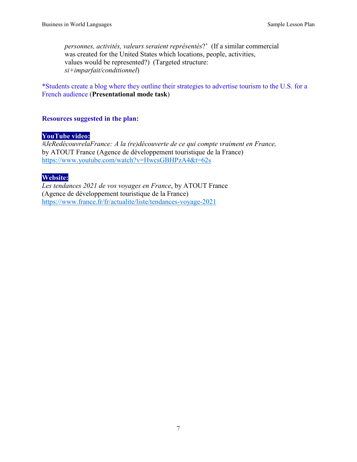*personnes, activités, valeurs seraient représentés*?' (If a similar commercial was created for the United States which locations, people, activities, values would be represented?) (Targeted structure: *si+imparfait/conditionnel*)

\*Students create a blog where they outline their strategies to advertise tourism to the U.S. for a French audience (**Presentational mode task**)

### **Resources suggested in the plan:**

### **YouTube video:**

*#JeRedécouvrelaFrance: A la (re)découverte de ce qui compte vraiment en France,* by ATOUT France (Agence de développement touristique de la France) <https://www.youtube.com/watch?v=HwcsGBHPzA4&t=62s>

### **Website:**

*Les tendances 2021 de vos voyages en France*, by ATOUT France (Agence de développement touristique de la France) <https://www.france.fr/fr/actualite/liste/tendances-voyage-2021>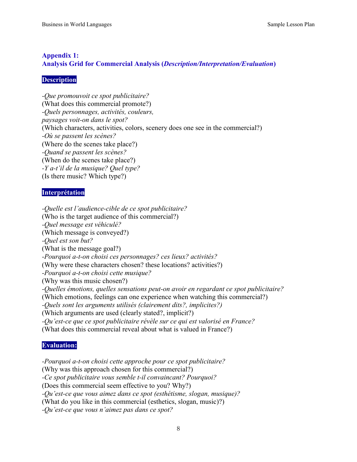### **Appendix 1: Analysis Grid for Commercial Analysis (***Description/Interpretation/Evaluation***)**

### **Description**

*-Que promouvoit ce spot publicitaire?*  (What does this commercial promote?) *-Quels personnages, activités, couleurs, paysages voit-on dans le spot?*  (Which characters, activities, colors, scenery does one see in the commercial?) *-Où se passent les scènes?* (Where do the scenes take place?) *-Quand se passent les scènes?*  (When do the scenes take place?) *-Y a-t'il de la musique? Quel type?*  (Is there music? Which type?)

### **Interprétation**

*-Quelle est l'audience-cible de ce spot publicitaire?*  (Who is the target audience of this commercial?) *-Quel message est véhiculé?*  (Which message is conveyed?) *-Quel est son but?*  (What is the message goal?) *-Pourquoi a-t-on choisi ces personnages? ces lieux? activités?*  (Why were these characters chosen? these locations? activities?) *-Pourquoi a-t-on choisi cette musique?*  (Why was this music chosen?) *-Quelles émotions, quelles sensations peut-on avoir en regardant ce spot publicitaire?*  (Which emotions, feelings can one experience when watching this commercial?) *-Quels sont les arguments utilisés (clairement dits?, implicites?)* (Which arguments are used (clearly stated?, implicit?) *-Qu'est-ce que ce spot publicitaire révèle sur ce qui est valorisé en France?*  (What does this commercial reveal about what is valued in France?)

### **Evaluation:**

*-Pourquoi a-t-on choisi cette approche pour ce spot publicitaire?*  (Why was this approach chosen for this commercial?) *-Ce spot publicitaire vous semble t-il convaincant? Pourquoi?*  (Does this commercial seem effective to you? Why?) *-Qu'est-ce que vous aimez dans ce spot (esthétisme, slogan, musique)?*  (What do you like in this commercial (esthetics, slogan, music)?) *-Qu'est-ce que vous n'aimez pas dans ce spot?*